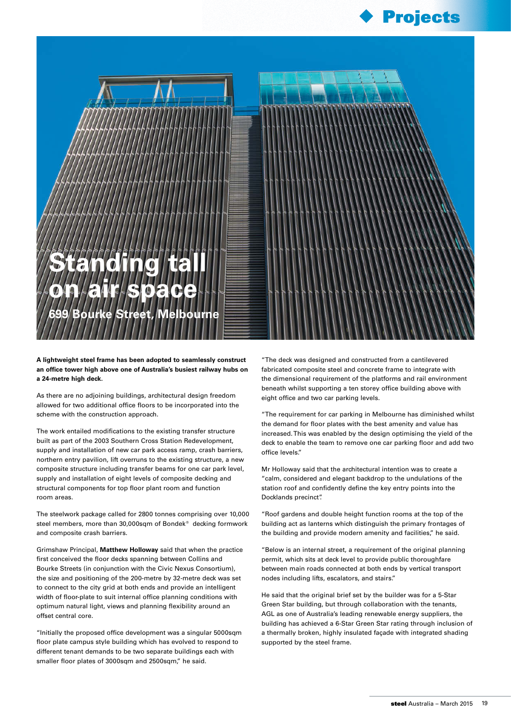



**A lightweight steel frame has been adopted to seamlessly construct an office tower high above one of Australia's busiest railway hubs on a 24-metre high deck.**

As there are no adjoining buildings, architectural design freedom allowed for two additional office floors to be incorporated into the scheme with the construction approach.

The work entailed modifications to the existing transfer structure built as part of the 2003 Southern Cross Station Redevelopment, supply and installation of new car park access ramp, crash barriers, northern entry pavilion, lift overruns to the existing structure, a new composite structure including transfer beams for one car park level, supply and installation of eight levels of composite decking and structural components for top floor plant room and function room areas.

The steelwork package called for 2800 tonnes comprising over 10,000 steel members, more than 30,000sqm of Bondek<sup>®</sup> decking formwork and composite crash barriers.

Grimshaw Principal, **Matthew Holloway** said that when the practice first conceived the floor decks spanning between Collins and Bourke Streets (in conjunction with the Civic Nexus Consortium), the size and positioning of the 200-metre by 32-metre deck was set to connect to the city grid at both ends and provide an intelligent width of floor-plate to suit internal office planning conditions with optimum natural light, views and planning flexibility around an offset central core.

"Initially the proposed office development was a singular 5000sqm floor plate campus style building which has evolved to respond to different tenant demands to be two separate buildings each with smaller floor plates of 3000sqm and 2500sqm," he said.

"The deck was designed and constructed from a cantilevered fabricated composite steel and concrete frame to integrate with the dimensional requirement of the platforms and rail environment beneath whilst supporting a ten storey office building above with eight office and two car parking levels.

"The requirement for car parking in Melbourne has diminished whilst the demand for floor plates with the best amenity and value has increased. This was enabled by the design optimising the yield of the deck to enable the team to remove one car parking floor and add two office levels."

Mr Holloway said that the architectural intention was to create a "calm, considered and elegant backdrop to the undulations of the station roof and confidently define the key entry points into the Docklands precinct".

"Roof gardens and double height function rooms at the top of the building act as lanterns which distinguish the primary frontages of the building and provide modern amenity and facilities," he said.

"Below is an internal street, a requirement of the original planning permit, which sits at deck level to provide public thoroughfare between main roads connected at both ends by vertical transport nodes including lifts, escalators, and stairs."

He said that the original brief set by the builder was for a 5-Star Green Star building, but through collaboration with the tenants, AGL as one of Australia's leading renewable energy suppliers, the building has achieved a 6-Star Green Star rating through inclusion of a thermally broken, highly insulated façade with integrated shading supported by the steel frame.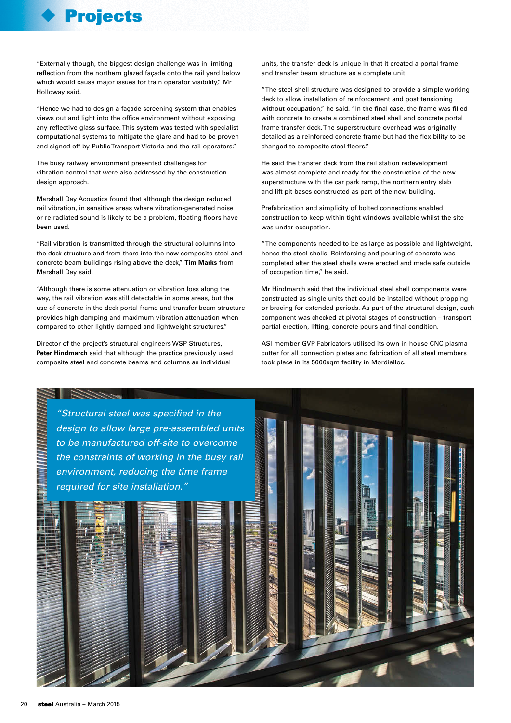## Projects

"Externally though, the biggest design challenge was in limiting reflection from the northern glazed façade onto the rail yard below which would cause major issues for train operator visibility," Mr Holloway said.

"Hence we had to design a façade screening system that enables views out and light into the office environment without exposing any reflective glass surface. This system was tested with specialist computational systems to mitigate the glare and had to be proven and signed off by Public Transport Victoria and the rail operators."

The busy railway environment presented challenges for vibration control that were also addressed by the construction design approach.

Marshall Day Acoustics found that although the design reduced rail vibration, in sensitive areas where vibration-generated noise or re-radiated sound is likely to be a problem, floating floors have been used.

"Rail vibration is transmitted through the structural columns into the deck structure and from there into the new composite steel and concrete beam buildings rising above the deck," **Tim Marks** from Marshall Day said.

"Although there is some attenuation or vibration loss along the way, the rail vibration was still detectable in some areas, but the use of concrete in the deck portal frame and transfer beam structure provides high damping and maximum vibration attenuation when compared to other lightly damped and lightweight structures."

Director of the project's structural engineers WSP Structures, **Peter Hindmarch** said that although the practice previously used composite steel and concrete beams and columns as individual

units, the transfer deck is unique in that it created a portal frame and transfer beam structure as a complete unit.

"The steel shell structure was designed to provide a simple working deck to allow installation of reinforcement and post tensioning without occupation," he said. "In the final case, the frame was filled with concrete to create a combined steel shell and concrete portal frame transfer deck. The superstructure overhead was originally detailed as a reinforced concrete frame but had the flexibility to be changed to composite steel floors."

He said the transfer deck from the rail station redevelopment was almost complete and ready for the construction of the new superstructure with the car park ramp, the northern entry slab and lift pit bases constructed as part of the new building.

Prefabrication and simplicity of bolted connections enabled construction to keep within tight windows available whilst the site was under occupation.

"The components needed to be as large as possible and lightweight, hence the steel shells. Reinforcing and pouring of concrete was completed after the steel shells were erected and made safe outside of occupation time," he said.

Mr Hindmarch said that the individual steel shell components were constructed as single units that could be installed without propping or bracing for extended periods. As part of the structural design, each component was checked at pivotal stages of construction – transport, partial erection, lifting, concrete pours and final condition.

ASI member GVP Fabricators utilised its own in-house CNC plasma cutter for all connection plates and fabrication of all steel members took place in its 5000sqm facility in Mordialloc.